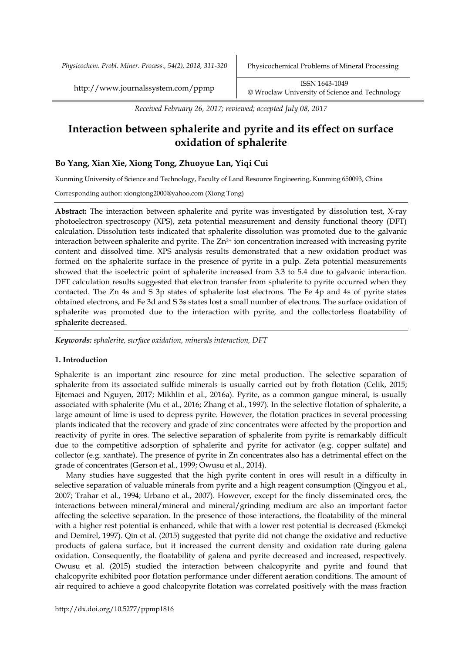*Physicochem. Probl. Miner. Process., 54(2), 2018, 311-320* Physicochemical Problems of Mineral Processing

http://www.journalssystem.com/ppmp ISSN 1643-1049 [©](http://www.minproc.pwr.wroc.pl/journal/) Wroclaw University of Science and Technology

*Received February 26, 2017; reviewed; accepted July 08, 2017*

# **Interaction between sphalerite and pyrite and its effect on surface oxidation of sphalerite**

# **Bo Yang, Xian Xie, Xiong Tong, Zhuoyue Lan, Yiqi Cui**

Kunming University of Science and Technology, Faculty of Land Resource Engineering, Kunming 650093, China

Corresponding author: xiongtong2000@yahoo.com (Xiong Tong)

**Abstract:** The interaction between sphalerite and pyrite was investigated by dissolution test, X-ray photoelectron spectroscopy (XPS), zeta potential measurement and density functional theory (DFT) calculation. Dissolution tests indicated that sphalerite dissolution was promoted due to the galvanic interaction between sphalerite and pyrite. The  $Zn^{2+}$  ion concentration increased with increasing pyrite content and dissolved time. XPS analysis results demonstrated that a new oxidation product was formed on the sphalerite surface in the presence of pyrite in a pulp. Zeta potential measurements showed that the isoelectric point of sphalerite increased from 3.3 to 5.4 due to galvanic interaction. DFT calculation results suggested that electron transfer from sphalerite to pyrite occurred when they contacted. The Zn 4s and S 3p states of sphalerite lost electrons. The Fe 4p and 4s of pyrite states obtained electrons, and Fe 3d and S 3s states lost a small number of electrons. The surface oxidation of sphalerite was promoted due to the interaction with pyrite, and the collectorless floatability of sphalerite decreased.

*Keywords: sphalerite, surface oxidation, minerals interaction, DFT*

# **1. Introduction**

Sphalerite is an important zinc resource for zinc metal production. The selective separation of sphalerite from its associated sulfide minerals is usually carried out by froth flotation (Celik, 2015; [Ejtemaei and Nguyen, 2017;](#page-8-0) [Mikhlin et al., 2016a\)](#page-9-0). Pyrite, as a common gangue mineral, is usually associated with sphalerite [\(Mu et al., 2016;](#page-9-1) [Zhang et al., 1997\)](#page-9-2). In the selective flotation of sphalerite, a large amount of lime is used to depress pyrite. However, the flotation practices in several processing plants indicated that the recovery and grade of zinc concentrates were affected by the proportion and reactivity of pyrite in ores. The selective separation of sphalerite from pyrite is remarkably difficult due to the competitive adsorption of sphalerite and pyrite for activator (e.g. copper sulfate) and collector (e.g. xanthate). The presence of pyrite in Zn concentrates also has a detrimental effect on the grade of concentrates [\(Gerson et al., 1999;](#page-8-1) [Owusu et al., 2014\)](#page-9-3).

Many studies have suggested that the high pyrite content in ores will result in a difficulty in selective separation of valuable minerals from pyrite and a high reagent consumption [\(Qingyou et al.,](#page-9-4)  [2007;](#page-9-4) [Trahar et al., 1994;](#page-9-5) [Urbano et al., 2007\)](#page-9-6). However, except for the finely disseminated ores, the interactions between mineral/mineral and mineral/grinding medium are also an important factor affecting the selective separation. In the presence of those interactions, the floatability of the mineral with a higher rest potential is enhanced, while that with a lower rest potential is decreased ([Ekmekçi](#page-8-2)  [and Demirel, 1997\)](#page-8-2). [Qin et al. \(2015\)](#page-9-7) suggested that pyrite did not change the oxidative and reductive products of galena surface, but it increased the current density and oxidation rate during galena oxidation. Consequently, the floatability of galena and pyrite decreased and increased, respectively. [Owusu et al.](#page-9-8) (2015) studied the interaction between chalcopyrite and pyrite and found that chalcopyrite exhibited poor flotation performance under different aeration conditions. The amount of air required to achieve a good chalcopyrite flotation was correlated positively with the mass fraction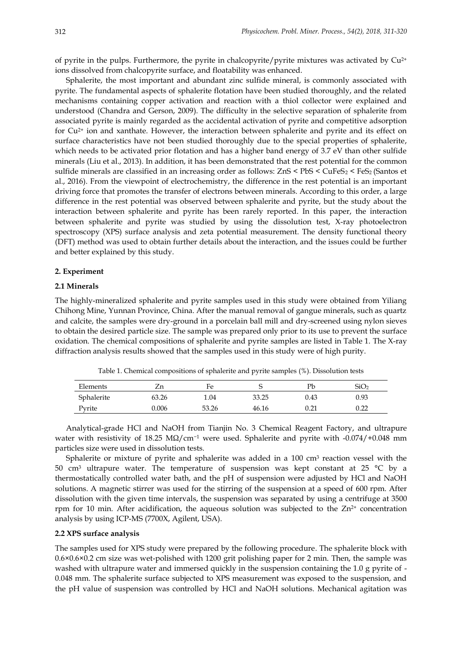of pyrite in the pulps. Furthermore, the pyrite in chalcopyrite/pyrite mixtures was activated by  $Cu^{2+}$ ions dissolved from chalcopyrite surface, and floatability was enhanced.

Sphalerite, the most important and abundant zinc sulfide mineral, is commonly associated with pyrite. The fundamental aspects of sphalerite flotation have been studied thoroughly, and the related mechanisms containing copper activation and reaction with a thiol collector were explained and understood [\(Chandra and Gerson, 2009\)](#page-8-3). The difficulty in the selective separation of sphalerite from associated pyrite is mainly regarded as the accidental activation of pyrite and competitive adsorption for Cu<sup>2+</sup> ion and xanthate. However, the interaction between sphalerite and pyrite and its effect on surface characteristics have not been studied thoroughly due to the special properties of sphalerite, which needs to be activated prior flotation and has a higher band energy of 3.7 eV than other sulfide minerals [\(Liu et al., 2013\)](#page-9-9). In addition, it has been demonstrated that the rest potential for the common sulfide minerals are classified in an increasing order as follows:  $ZnS \le PbS \le CuFeS_2 \le FeS_2$  (Santos et [al., 2016\)](#page-9-10). From the viewpoint of electrochemistry, the difference in the rest potential is an important driving force that promotes the transfer of electrons between minerals. According to this order, a large difference in the rest potential was observed between sphalerite and pyrite, but the study about the interaction between sphalerite and pyrite has been rarely reported. In this paper, the interaction between sphalerite and pyrite was studied by using the dissolution test, X-ray photoelectron spectroscopy (XPS) surface analysis and zeta potential measurement. The density functional theory (DFT) method was used to obtain further details about the interaction, and the issues could be further and better explained by this study.

#### **2. Experiment**

#### **2.1 Minerals**

The highly-mineralized sphalerite and pyrite samples used in this study were obtained from Yiliang Chihong Mine, Yunnan Province, China. After the manual removal of gangue minerals, such as quartz and calcite, the samples were dry-ground in a porcelain ball mill and dry-screened using nylon sieves to obtain the desired particle size. The sample was prepared only prior to its use to prevent the surface oxidation. The chemical compositions of sphalerite and pyrite samples are listed in Table 1. The X-ray diffraction analysis results showed that the samples used in this study were of high purity.

| Elements   | ∠n    | Fe    |       | Pb   | SiO2 |
|------------|-------|-------|-------|------|------|
| Sphalerite | 63.26 | 1.04  | 33.25 | 0.43 | 0.93 |
| Pyrite     | 0.006 | 53.26 | 46.16 | 0.21 | 0.22 |

Table 1. Chemical compositions of sphalerite and pyrite samples (%). Dissolution tests

Analytical-grade HCl and [NaOH](http://en.wikipedia.org/wiki/Copper(II)_sulfate) from Tianjin No. 3 Chemical Reagent Factory, and ultrapure water with resistivity of 18.25 MΩ/cm<sup>-1</sup> were used. Sphalerite and pyrite with -0.074/+0.048 mm particles size were used in dissolution tests.

Sphalerite or mixture of pyrite and sphalerite was added in a 100 cm<sup>3</sup> reaction vessel with the 50 cm<sup>3</sup> ultrapure water. The temperature of suspension was kept constant at 25  $^{\circ}$ C by a thermostatically controlled water bath, and the pH of suspension were adjusted by HCl and NaOH solutions. A magnetic stirrer was used for the stirring of the suspension at a speed of 600 rpm. After dissolution with the given time intervals, the suspension was separated by using a centrifuge at 3500 rpm for 10 min. After acidification, the aqueous solution was subjected to the  $Zn^{2+}$  concentration analysis by using ICP-MS (7700X, Agilent, USA).

## **2.2 XPS surface analysis**

The samples used for XPS study were prepared by the following procedure. The sphalerite block with 0.6×0.6×0.2 cm size was wet-polished with 1200 grit polishing paper for 2 min. Then, the sample was washed with ultrapure water and immersed quickly in the suspension containing the 1.0 g pyrite of - 0.048 mm. The sphalerite surface subjected to XPS measurement was exposed to the suspension, and the pH value of suspension was controlled by HCl and NaOH solutions. Mechanical agitation was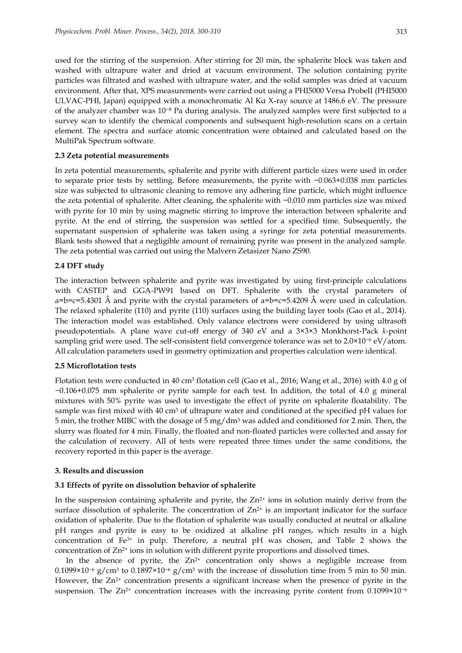used for the stirring of the suspension. After stirring for 20 min, the sphalerite block was taken and washed with ultrapure water and dried at vacuum environment. The solution containing pyrite particles was filtrated and washed with ultrapure water, and the solid samples was dried at vacuum environment. After that, XPS measurements were carried out using a PHI5000 Versa ProbeII (PHI5000 ULVAC-PHI, Japan) equipped with a monochromatic Al Kα X-ray source at 1486.6 eV. The pressure of the analyzer chamber was 10−<sup>8</sup> Pa during analysis. The analyzed samples were first subjected to a survey scan to identify the chemical components and subsequent high-resolution scans on a certain element. The spectra and surface atomic concentration were obtained and calculated based on the MultiPak Spectrum software.

## **2.3 Zeta potential measurements**

In zeta potential measurements, sphalerite and pyrite with different particle sizes were used in order to separate prior tests by settling. Before measurements, the pyrite with −0.063+0.038 mm particles size was subjected to ultrasonic cleaning to remove any adhering fine particle, which might influence the zeta potential of sphalerite. After cleaning, the sphalerite with −0.010 mm particles size was mixed with pyrite for 10 min by using magnetic stirring to improve the interaction between sphalerite and pyrite. At the end of stirring, the suspension was settled for a specified time. Subsequently, the supernatant suspension of sphalerite was taken using a syringe for zeta potential measurements. Blank tests showed that a negligible amount of remaining pyrite was present in the analyzed sample. The zeta potential was carried out using the Malvern Zetasizer Nano ZS90.

## **2.4 DFT study**

The interaction between sphalerite and pyrite was investigated by using first-principle calculations with CASTEP and GGA-PW91 based on DFT. Sphalerite with the crystal parameters of  $a=b=c=5.4301$  Å and pyrite with the crystal parameters of  $a=b=c=5.4209$  Å were used in calculation. The relaxed sphalerite (110) and pyrite (110) surfaces using the building layer tools (Gao et al., 2014). The interaction model was established. Only valance electrons were considered by using ultrasoft pseudopotentials. A plane wave cut-off energy of 340 eV and a 3×3×3 Monkhorst-Pack *k*-point sampling grid were used. The self-consistent field convergence tolerance was set to 2.0×10<sup>-6</sup> eV/atom. All calculation parameters used in geometry optimization and properties calculation were identical.

## **2.5 Microflotation tests**

Flotation tests were conducted in 40 cm<sup>3</sup> flotation cell (Gao et al., 2016; Wang et al., 2016) with 4.0 g of −0.106+0.075 mm sphalerite or pyrite sample for each test. In addition, the total of 4.0 g mineral mixtures with 50% pyrite was used to investigate the effect of pyrite on sphalerite floatability. The sample was first mixed with 40 cm<sup>3</sup> of ultrapure water and conditioned at the specified pH values for 5 min, the frother MIBC with the dosage of 5 mg/dm<sup>3</sup> was added and conditioned for 2 min. Then, the slurry was floated for 4 min. Finally, the floated and non-floated particles were collected and assay for the calculation of recovery. All of tests were repeated three times under the same conditions, the recovery reported in this paper is the average.

# **3. Results and discussion**

# **3.1 Effects of pyrite on dissolution behavior of sphalerite**

In the suspension containing sphalerite and pyrite, the  $Zn^{2+}$  ions in solution mainly derive from the surface dissolution of sphalerite. The concentration of  $Zn^{2+}$  is an important indicator for the surface oxidation of sphalerite. Due to the flotation of sphalerite was usually conducted at neutral or alkaline pH ranges and pyrite is easy to be oxidized at alkaline pH ranges, which results in a high concentration of Fe3+ in pulp. Therefore, a neutral pH was chosen, and Table 2 shows the concentration of  $Zn^{2+}$  ions in solution with different pyrite proportions and dissolved times.

In the absence of pyrite, the  $Zn^{2+}$  concentration only shows a negligible increase from 0.1099×10<sup>-6</sup> g/cm<sup>3</sup> to 0.1897×10<sup>-6</sup> g/cm<sup>3</sup> with the increase of dissolution time from 5 min to 50 min. However, the  $Zn^{2+}$  concentration presents a significant increase when the presence of pyrite in the suspension. The Zn<sup>2+</sup> concentration increases with the increasing pyrite content from  $0.1099 \times 10^{-6}$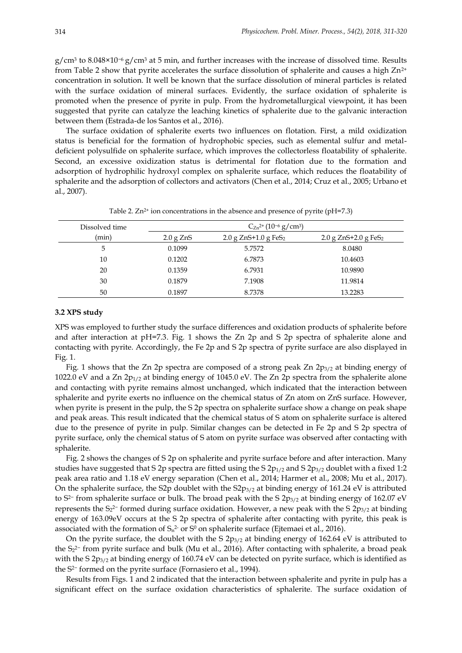g/cm<sup>3</sup> to 8.048×10<sup>-6</sup> g/cm<sup>3</sup> at 5 min, and further increases with the increase of dissolved time. Results from Table 2 show that pyrite accelerates the surface dissolution of sphalerite and causes a high  $Zn^{2+}$ concentration in solution. It well be known that the surface dissolution of mineral particles is related with the surface oxidation of mineral surfaces. Evidently, the surface oxidation of sphalerite is promoted when the presence of pyrite in pulp. From the hydrometallurgical viewpoint, it has been suggested that pyrite can catalyze the leaching kinetics of sphalerite due to the galvanic interaction between them [\(Estrada-de los Santos et al., 2016\)](#page-8-4).

The surface oxidation of sphalerite exerts two influences on flotation. First, a mild oxidization status is beneficial for the formation of hydrophobic species, such as elemental sulfur and metaldeficient polysulfide on sphalerite surface, which improves the collectorless floatability of sphalerite. Second, an excessive oxidization status is detrimental for flotation due to the formation and adsorption of hydrophilic hydroxyl complex on sphalerite surface, which reduces the floatability of sphalerite and the adsorption of collectors and activators [\(Chen et al., 2014;](#page-8-5) [Cruz et al., 2005;](#page-8-6) [Urbano et](#page-9-6)  [al., 2007\)](#page-9-6).

| Dissolved time |             | $C_{Zn}^{2+}$ (10 <sup>-6</sup> g/cm <sup>3</sup> ) |                                    |  |  |  |  |
|----------------|-------------|-----------------------------------------------------|------------------------------------|--|--|--|--|
| (min)          | $2.0$ g ZnS | 2.0 g $ZnS+1.0$ g FeS <sub>2</sub>                  | 2.0 g $ZnS+2.0$ g FeS <sub>2</sub> |  |  |  |  |
| 5              | 0.1099      | 5.7572                                              | 8.0480                             |  |  |  |  |
| 10             | 0.1202      | 6.7873                                              | 10.4603                            |  |  |  |  |
| 20             | 0.1359      | 6.7931                                              | 10.9890                            |  |  |  |  |
| 30             | 0.1879      | 7.1908                                              | 11.9814                            |  |  |  |  |
| 50             | 0.1897      | 8.7378                                              | 13.2283                            |  |  |  |  |

Table 2.  $Zn^{2+}$  ion concentrations in the absence and presence of pyrite (pH=7.3)

# **3.2 XPS study**

XPS was employed to further study the surface differences and oxidation products of sphalerite before and after interaction at pH=7.3. Fig. 1 shows the Zn 2p and S 2p spectra of sphalerite alone and contacting with pyrite. Accordingly, the Fe 2p and S 2p spectra of pyrite surface are also displayed in Fig. 1.

Fig. 1 shows that the Zn 2p spectra are composed of a strong peak Zn  $2p_{3/2}$  at binding energy of 1022.0 eV and a Zn  $2p_{1/2}$  at binding energy of 1045.0 eV. The Zn  $2p$  spectra from the sphalerite alone and contacting with pyrite remains almost unchanged, which indicated that the interaction between sphalerite and pyrite exerts no influence on the chemical status of Zn atom on ZnS surface. However, when pyrite is present in the pulp, the S 2p spectra on sphalerite surface show a change on peak shape and peak areas. This result indicated that the chemical status of S atom on sphalerite surface is altered due to the presence of pyrite in pulp. Similar changes can be detected in Fe 2p and S 2p spectra of pyrite surface, only the chemical status of S atom on pyrite surface was observed after contacting with sphalerite.

Fig. 2 shows the changes of S 2p on sphalerite and pyrite surface before and after interaction. Many studies have suggested that S 2p spectra are fitted using the S  $2p_{1/2}$  and S  $2p_{3/2}$  doublet with a fixed 1:2 peak area ratio and 1.18 eV energy separation [\(Chen et al., 2014;](#page-8-5) [Harmer et al., 2008;](#page-8-7) [Mu et al., 2017\)](#page-9-11). On the sphalerite surface, the S2p doublet with the  $S2p_{3/2}$  at binding energy of 161.24 eV is attributed to S<sup>2−</sup> from sphalerite surface or bulk. The broad peak with the S  $2p_{3/2}$  at binding energy of 162.07 eV represents the S<sub>2</sub><sup>2-</sup> formed during surface oxidation. However, a new peak with the S 2<sub>P3/2</sub> at binding energy of 163.09eV occurs at the S 2p spectra of sphalerite after contacting with pyrite, this peak is associated with the formation of  $S_n$ 2· or Sº on sphalerite surface [\(Ejtemaei et al., 2016\)](#page-8-8).

On the pyrite surface, the doublet with the S  $2p_{3/2}$  at binding energy of 162.64 eV is attributed to the S<sub>2</sub><sup>2−</sup> from pyrite surface and bulk [\(Mu et al., 2016\)](#page-9-1). After contacting with sphalerite, a broad peak with the S  $2p_{3/2}$  at binding energy of 160.74 eV can be detected on pyrite surface, which is identified as the S2− formed on the pyrite surface [\(Fornasiero et al., 1994\)](#page-8-9).

Results from Figs. 1 and 2 indicated that the interaction between sphalerite and pyrite in pulp has a significant effect on the surface oxidation characteristics of sphalerite. The surface oxidation of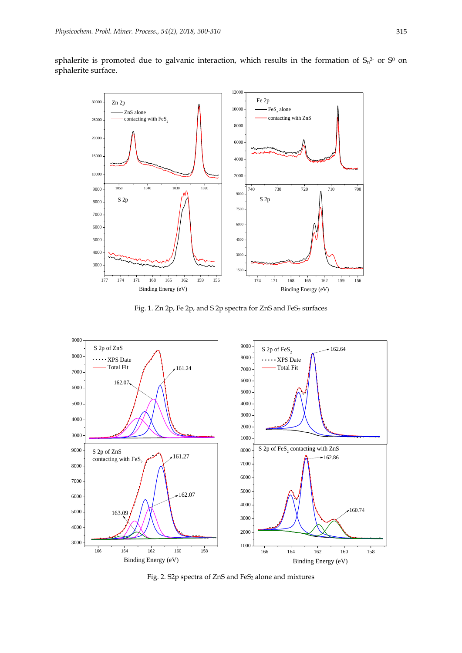



Fig. 1. Zn 2p, Fe 2p, and S 2p spectra for ZnS and FeS<sub>2</sub> surfaces



Fig. 2. S2p spectra of ZnS and FeS<sub>2</sub> alone and mixtures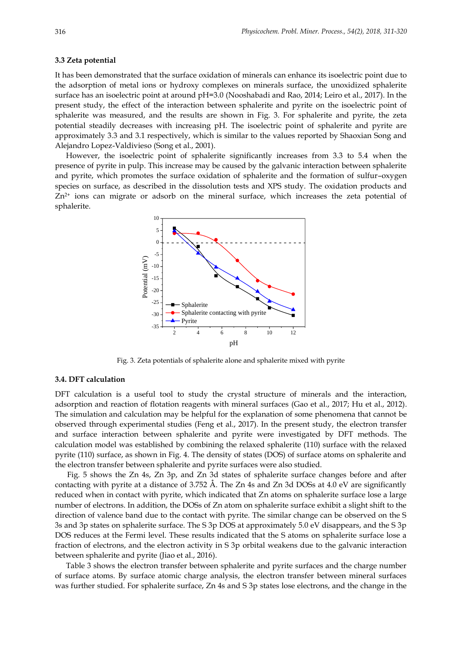#### **3.3 Zeta potential**

It has been demonstrated that the surface oxidation of minerals can enhance its isoelectric point due to the adsorption of metal ions or hydroxy complexes on minerals surface, the unoxidized sphalerite surface has an isoelectric point at around pH=3.0 [\(Nooshabadi and Rao, 2014;](#page-8-10) [Leiro et al., 2017\)](#page-9-12). In the present study, the effect of the interaction between sphalerite and pyrite on the isoelectric point of sphalerite was measured, and the results are shown in Fig. 3. For sphalerite and pyrite, the zeta potential steadily decreases with increasing pH. The isoelectric point of sphalerite and pyrite are approximately 3.3 and 3.1 respectively, which is similar to the values reported by Shaoxian Song and Alejandro Lopez-Valdivieso [\(Song et al., 2001\)](#page-9-13).

However, the isoelectric point of sphalerite significantly increases from 3.3 to 5.4 when the presence of pyrite in pulp. This increase may be caused by the galvanic interaction between sphalerite and pyrite, which promotes the surface oxidation of sphalerite and the formation of sulfur–oxygen species on surface, as described in the dissolution tests and XPS study. The oxidation products and  $Zn<sup>2+</sup>$  ions can migrate or adsorb on the mineral surface, which increases the zeta potential of sphalerite.



Fig. 3. Zeta potentials of sphalerite alone and sphalerite mixed with pyrite

# **3.4. DFT calculation**

DFT calculation is a useful tool to study the crystal structure of minerals and the interaction, adsorption and reaction of flotation reagents with mineral surfaces (Gao et al., 2017; Hu et al., 2012). The simulation and calculation may be helpful for the explanation of some phenomena that cannot be observed through experimental studies [\(Feng et al., 2017\)](#page-8-11). In the present study, the electron transfer and surface interaction between sphalerite and pyrite were investigated by DFT methods. The calculation model was established by combining the relaxed sphalerite (110) surface with the relaxed pyrite (110) surface, as shown in Fig. 4. The density of states (DOS) of surface atoms on sphalerite and the electron transfer between sphalerite and pyrite surfaces were also studied.

Fig. 5 shows the Zn 4s, Zn 3p, and Zn 3d states of sphalerite surface changes before and after contacting with pyrite at a distance of 3.752 Å. The Zn 4s and Zn 3d DOSs at 4.0 eV are significantly reduced when in contact with pyrite, which indicated that Zn atoms on sphalerite surface lose a large number of electrons. In addition, the DOSs of Zn atom on sphalerite surface exhibit a slight shift to the direction of valence band due to the contact with pyrite. The similar change can be observed on the S 3s and 3p states on sphalerite surface. The S 3p DOS at approximately 5.0 eV disappears, and the S 3p DOS reduces at the Fermi level. These results indicated that the S atoms on sphalerite surface lose a fraction of electrons, and the electron activity in S 3p orbital weakens due to the galvanic interaction between sphalerite and pyrite [\(Jiao et al., 2016\)](#page-8-12).

Table 3 shows the electron transfer between sphalerite and pyrite surfaces and the charge number of surface atoms. By surface atomic charge analysis, the electron transfer between mineral surfaces was further studied. For sphalerite surface, Zn 4s and S 3p states lose electrons, and the change in the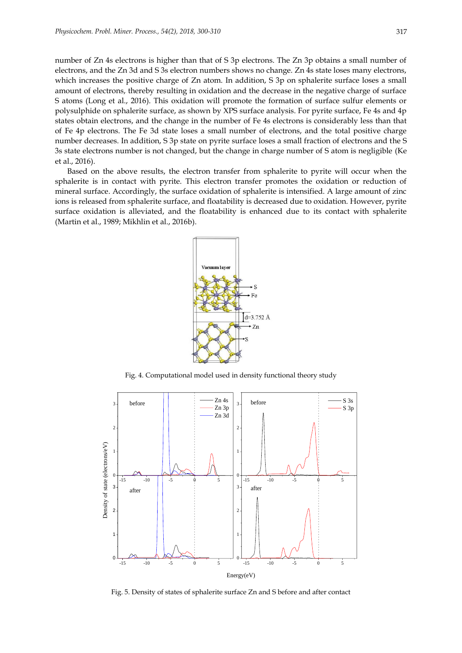number of Zn 4s electrons is higher than that of S 3p electrons. The Zn 3p obtains a small number of electrons, and the Zn 3d and S 3s electron numbers shows no change. Zn 4s state loses many electrons, which increases the positive charge of Zn atom. In addition, S 3p on sphalerite surface loses a small amount of electrons, thereby resulting in oxidation and the decrease in the negative charge of surface S atoms [\(Long et al., 2016\)](#page-9-14). This oxidation will promote the formation of surface sulfur elements or polysulphide on sphalerite surface, as shown by XPS surface analysis. For pyrite surface, Fe 4s and 4p states obtain electrons, and the change in the number of Fe 4s electrons is considerably less than that of Fe 4p electrons. The Fe 3d state loses a small number of electrons, and the total positive charge number decreases. In addition, S 3p state on pyrite surface loses a small fraction of electrons and the S 3s state electrons number is not changed, but the change in charge number of S atom is negligible [\(Ke](#page-8-13)  [et al., 2016\)](#page-8-13).

Based on the above results, the electron transfer from sphalerite to pyrite will occur when the sphalerite is in contact with pyrite. This electron transfer promotes the oxidation or reduction of mineral surface. Accordingly, the surface oxidation of sphalerite is intensified. A large amount of zinc ions is released from sphalerite surface, and floatability is decreased due to oxidation. However, pyrite surface oxidation is alleviated, and the floatability is enhanced due to its contact with sphalerite [\(Martin et al., 1989;](#page-9-15) [Mikhlin et al., 2016b\)](#page-9-16).



Fig. 4. Computational model used in density functional theory study



Fig. 5. Density of states of sphalerite surface Zn and S before and after contact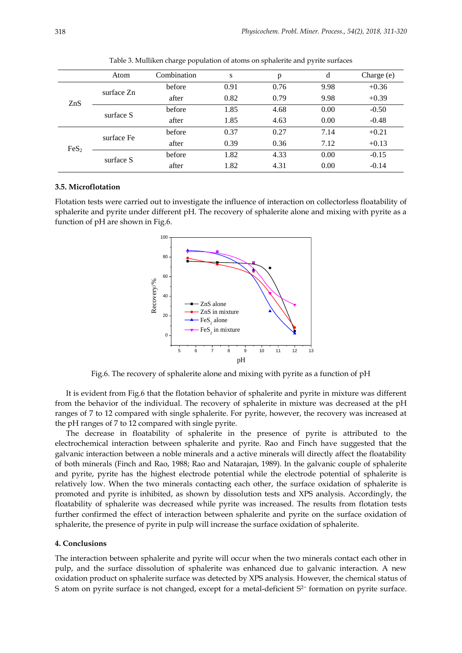|                  | Atom       | Combination | S    | p    | d    | Charge (e) |
|------------------|------------|-------------|------|------|------|------------|
| ZnS              | surface Zn | before      | 0.91 | 0.76 | 9.98 | $+0.36$    |
|                  |            | after       | 0.82 | 0.79 | 9.98 | $+0.39$    |
|                  | surface S  | before      | 1.85 | 4.68 | 0.00 | $-0.50$    |
|                  |            | after       | 1.85 | 4.63 | 0.00 | $-0.48$    |
| FeS <sub>2</sub> | surface Fe | before      | 0.37 | 0.27 | 7.14 | $+0.21$    |
|                  |            | after       | 0.39 | 0.36 | 7.12 | $+0.13$    |
|                  | surface S  | before      | 1.82 | 4.33 | 0.00 | $-0.15$    |
|                  |            | after       | 1.82 | 4.31 | 0.00 | $-0.14$    |

Table 3. Mulliken charge population of atoms on sphalerite and pyrite surfaces

## **3.5. Microflotation**

Flotation tests were carried out to investigate the influence of interaction on collectorless floatability of sphalerite and pyrite under different pH. The recovery of sphalerite alone and mixing with pyrite as a function of pH are shown in Fig.6.



Fig.6. The recovery of sphalerite alone and mixing with pyrite as a function of pH

It is evident from Fig.6 that the flotation behavior of sphalerite and pyrite in mixture was different from the behavior of the individual. The recovery of sphalerite in mixture was decreased at the pH ranges of 7 to 12 compared with single sphalerite. For pyrite, however, the recovery was increased at the pH ranges of 7 to 12 compared with single pyrite.

The decrease in floatability of sphalerite in the presence of pyrite is attributed to the electrochemical interaction between sphalerite and pyrite. Rao and Finch have suggested that the galvanic interaction between a noble minerals and a active minerals will directly affect the floatability of both minerals [\(Finch and Rao, 1988;](#page-8-14) [Rao and Natarajan, 1989\)](#page-9-17). In the galvanic couple of sphalerite and pyrite, pyrite has the highest electrode potential while the electrode potential of sphalerite is relatively low. When the two minerals contacting each other, the surface oxidation of sphalerite is promoted and pyrite is inhibited, as shown by dissolution tests and XPS analysis. Accordingly, the floatability of sphalerite was decreased while pyrite was increased. The results from flotation tests further confirmed the effect of interaction between sphalerite and pyrite on the surface oxidation of sphalerite, the presence of pyrite in pulp will increase the surface oxidation of sphalerite.

#### **4. Conclusions**

The interaction between sphalerite and pyrite will occur when the two minerals contact each other in pulp, and the surface dissolution of sphalerite was enhanced due to galvanic interaction. A new oxidation product on sphalerite surface was detected by XPS analysis. However, the chemical status of S atom on pyrite surface is not changed, except for a metal-deficient S<sup>2−</sup> formation on pyrite surface.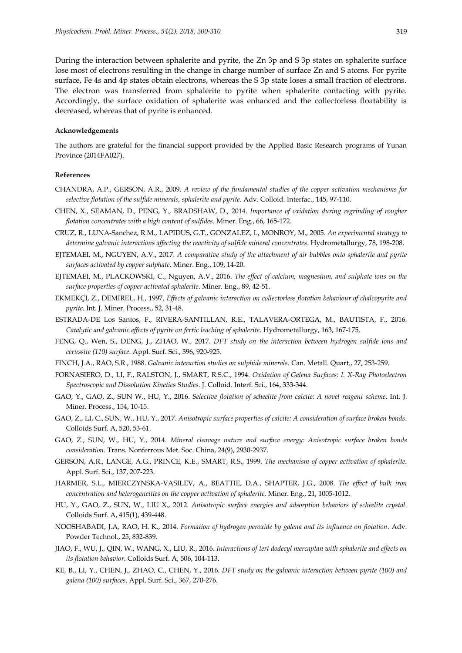During the interaction between sphalerite and pyrite, the Zn 3p and S 3p states on sphalerite surface lose most of electrons resulting in the change in charge number of surface Zn and S atoms. For pyrite surface, Fe 4s and 4p states obtain electrons, whereas the S 3p state loses a small fraction of electrons. The electron was transferred from sphalerite to pyrite when sphalerite contacting with pyrite. Accordingly, the surface oxidation of sphalerite was enhanced and the collectorless floatability is decreased, whereas that of pyrite is enhanced.

## **Acknowledgements**

The authors are grateful for the financial support provided by the Applied Basic Research programs of Yunan Province (2014FA027).

# **References**

- <span id="page-8-3"></span>CHANDRA, A.P., GERSON, A.R., 2009. *A review of the fundamental studies of the copper activation mechanisms for selective flotation of the sulfide minerals, sphalerite and pyrite.* Adv. Colloid. Interfac., 145, 97-110.
- <span id="page-8-5"></span>CHEN, X., SEAMAN, D., PENG, Y., BRADSHAW, D., 2014. *Importance of oxidation during regrinding of rougher flotation concentrates with a high content of sulfides*. Miner. Eng., 66, 165-172.
- <span id="page-8-6"></span>CRUZ, R., LUNA-Sanchez, R.M., LAPIDUS, G.T., GONZALEZ, I., MONROY, M., 2005. *An experimental strategy to determine galvanic interactions affecting the reactivity of sulfide mineral concentrates*. Hydrometallurgy, 78, 198-208.
- <span id="page-8-0"></span>EJTEMAEI, M., NGUYEN, A.V., 2017. *A comparative study of the attachment of air bubbles onto sphalerite and pyrite surfaces activated by copper sulphate*. Miner. Eng., 109, 14-20.
- <span id="page-8-8"></span>EJTEMAEI, M., PLACKOWSKI, C., Nguyen, A.V., 2016. *The effect of calcium, magnesium, and sulphate ions on the surface properties of copper activated sphalerite*. Miner. Eng., 89, 42-51.
- <span id="page-8-2"></span>EKMEKÇI, Z., DEMIREL, H., 1997. *Effects of galvanic interaction on collectorless flotation behaviour of chalcopyrite and pyrite*. Int. J. Miner. Process., 52, 31-48.
- <span id="page-8-4"></span>ESTRADA-DE Los Santos, F., RIVERA-SANTILLAN, R.E., TALAVERA-ORTEGA, M., BAUTISTA, F., 2016. *Catalytic and galvanic effects of pyrite on ferric leaching of sphalerite*. Hydrometallurgy, 163, 167-175.
- <span id="page-8-11"></span>FENG, Q., Wen, S., DENG, J., ZHAO, W., 2017. *DFT study on the interaction between hydrogen sulfide ions and cerussite (110) surface*. Appl. Surf. Sci., 396, 920-925.
- <span id="page-8-14"></span>FINCH, J.A., RAO, S.R., 1988. *Galvanic interaction studies on sulphide minerals*. Can. Metall. Quart., 27, 253-259.
- <span id="page-8-9"></span>FORNASIERO, D., LI, F., RALSTON, J., SMART, R.S.C., 1994. *Oxidation of Galena Surfaces: I. X-Ray Photoelectron Spectroscopic and Dissolution Kinetics Studies*. J. Colloid. Interf. Sci., 164, 333-344.
- GAO, Y., GAO, Z., SUN W., HU, Y., 2016. *Selective flotation of scheelite from calcite: A novel reagent scheme*. Int. J. Miner. Process., 154, 10-15.
- GAO, Z., LI, C., SUN, W., HU, Y., 2017. *Anisotropic surface properties of calcite: A consideration of surface broken bonds*. Colloids Surf. A, 520, 53-61.
- GAO, Z., SUN, W., HU, Y., 2014. *Mineral cleavage nature and surface energy: Anisotropic surface broken bonds consideration*. Trans. Nonferrous Met. Soc. China, 24(9), 2930-2937.
- <span id="page-8-1"></span>GERSON, A.R., LANGE, A.G., PRINCE, K.E., SMART, R.S., 1999. *The mechanism of copper activation of sphalerite*. Appl. Surf. Sci., 137, 207-223.
- <span id="page-8-7"></span>HARMER, S.L., MIERCZYNSKA-VASILEV, A., BEATTIE, D.A., SHAPTER, J.G., 2008. *The effect of bulk iron concentration and heterogeneities on the copper activation of sphalerite*. Miner. Eng., 21, 1005-1012.
- HU, Y., GAO, Z., SUN, W., LIU X., 2012. *Anisotropic surface energies and adsorption behaviors of scheelite crystal*. Colloids Surf. A, 415(1), 439-448.
- <span id="page-8-10"></span>NOOSHABADI, J.A, RAO, H. K., 2014. *Formation of hydrogen peroxide by galena and its influence on flotation*. Adv. Powder Technol., 25, 832-839.
- <span id="page-8-12"></span>JIAO, F., WU, J., QIN, W., WANG, X., LIU, R., 2016. *Interactions of tert dodecyl mercaptan with sphalerite and effects on its flotation behavior*. Colloids Surf. A, 506, 104-113.
- <span id="page-8-13"></span>KE, B., LI, Y., CHEN, J., ZHAO, C., CHEN, Y., 2016. *DFT study on the galvanic interaction between pyrite (100) and galena (100) surfaces*. Appl. Surf. Sci., 367, 270-276.